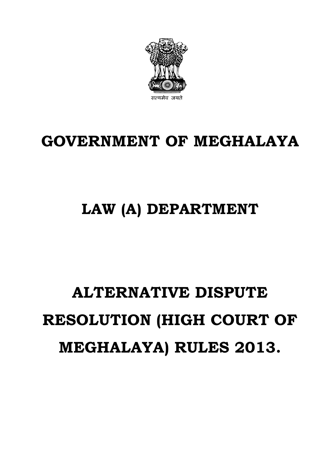# **ALTERNATIVE DISPUTE RESOLUTION (HIGH COURT OF MEGHALAYA) RULES 2013.**

# **LAW (A) DEPARTMENT**

# **GOVERNMENT OF MEGHALAYA**

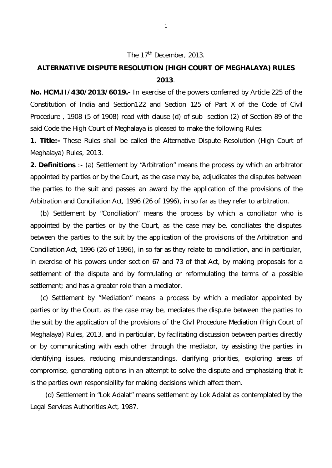### The 17<sup>th</sup> December, 2013.

# **ALTERNATIVE DISPUTE RESOLUTION (HIGH COURT OF MEGHALAYA) RULES 2013**.

**No. HCM.II/430/2013/6019.-** In exercise of the powers conferred by Article 225 of the Constitution of India and Section122 and Section 125 of Part X of the Code of Civil Procedure , 1908 (5 of 1908) read with clause (d) of sub- section (2) of Section 89 of the said Code the High Court of Meghalaya is pleased to make the following Rules:

**1. Title:-** These Rules shall be called the Alternative Dispute Resolution (High Court of Meghalaya) Rules, 2013.

**2. Definitions** :- (a) Settlement by "Arbitration" means the process by which an arbitrator appointed by parties or by the Court, as the case may be, adjudicates the disputes between the parties to the suit and passes an award by the application of the provisions of the Arbitration and Conciliation Act, 1996 (26 of 1996), in so far as they refer to arbitration.

(b) Settlement by "Conciliation" means the process by which a conciliator who is appointed by the parties or by the Court, as the case may be, conciliates the disputes between the parties to the suit by the application of the provisions of the Arbitration and Conciliation Act, 1996 (26 of 1996), in so far as they relate to conciliation, and in particular, in exercise of his powers under section 67 and 73 of that Act, by making proposals for a settlement of the dispute and by formulating or reformulating the terms of a possible settlement; and has a greater role than a mediator.

(c) Settlement by "Mediation" means a process by which a mediator appointed by parties or by the Court, as the case may be, mediates the dispute between the parties to the suit by the application of the provisions of the Civil Procedure Mediation (High Court of Meghalaya) Rules, 2013, and in particular, by facilitating discussion between parties directly or by communicating with each other through the mediator, by assisting the parties in identifying issues, reducing misunderstandings, clarifying priorities, exploring areas of compromise, generating options in an attempt to solve the dispute and emphasizing that it is the parties own responsibility for making decisions which affect them.

(d) Settlement in "Lok Adalat" means settlement by Lok Adalat as contemplated by the Legal Services Authorities Act, 1987.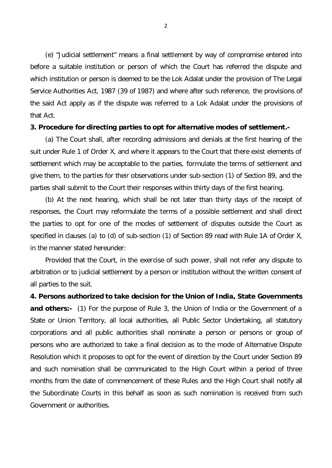(e) "Judicial settlement" means a final settlement by way of compromise entered into before a suitable institution or person of which the Court has referred the dispute and which institution or person is deemed to be the Lok Adalat under the provision of The Legal Service Authorities Act, 1987 (39 of 1987) and where after such reference, the provisions of the said Act apply as if the dispute was referred to a Lok Adalat under the provisions of that Act.

#### **3. Procedure for directing parties to opt for alternative modes of settlement.-**

(a) The Court shall, after recording admissions and denials at the first hearing of the suit under Rule 1 of Order X, and where it appears to the Court that there exist elements of settlement which may be acceptable to the parties, formulate the terms of settlement and give them, to the parties for their observations under sub-section (1) of Section 89, and the parties shall submit to the Court their responses within thirty days of the first hearing.

(b) At the next hearing, which shall be not later than thirty days of the receipt of responses, the Court may reformulate the terms of a possible settlement and shall direct the parties to opt for one of the modes of settlement of disputes outside the Court as specified in clauses (a) to (d) of sub-section (1) of Section 89 read with Rule 1A of Order X, in the manner stated hereunder:

Provided that the Court, in the exercise of such power, shall not refer any dispute to arbitration or to judicial settlement by a person or institution without the written consent of all parties to the suit.

**4. Persons authorized to take decision for the Union of India, State Governments and others:-** (1) For the purpose of Rule 3, the Union of India or the Government of a State or Union Territory, all local authorities, all Public Sector Undertaking, all statutory corporations and all public authorities shall nominate a person or persons or group of persons who are authorized to take a final decision as to the mode of Alternative Dispute Resolution which it proposes to opt for the event of direction by the Court under Section 89 and such nomination shall be communicated to the High Court within a period of three months from the date of commencement of these Rules and the High Court shall notify all the Subordinate Courts in this behalf as soon as such nomination is received from such Government or authorities.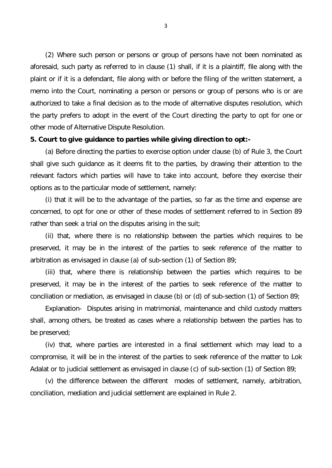(2) Where such person or persons or group of persons have not been nominated as aforesaid, such party as referred to in clause (1) shall, if it is a plaintiff, file along with the plaint or if it is a defendant, file along with or before the filing of the written statement, a memo into the Court, nominating a person or persons or group of persons who is or are authorized to take a final decision as to the mode of alternative disputes resolution, which the party prefers to adopt in the event of the Court directing the party to opt for one or other mode of Alternative Dispute Resolution.

#### **5. Court to give guidance to parties while giving direction to opt:-**

(a) Before directing the parties to exercise option under clause (b) of Rule 3, the Court shall give such guidance as it deems fit to the parties, by drawing their attention to the relevant factors which parties will have to take into account, before they exercise their options as to the particular mode of settlement, namely:

(i) that it will be to the advantage of the parties, so far as the time and expense are concerned, to opt for one or other of these modes of settlement referred to in Section 89 rather than seek a trial on the disputes arising in the suit;

(ii) that, where there is no relationship between the parties which requires to be preserved, it may be in the interest of the parties to seek reference of the matter to arbitration as envisaged in clause (a) of sub-section (1) of Section 89;

(iii) that, where there is relationship between the parties which requires to be preserved, it may be in the interest of the parties to seek reference of the matter to conciliation or mediation, as envisaged in clause (b) or (d) of sub-section (1) of Section 89;

Explanation- Disputes arising in matrimonial, maintenance and child custody matters shall, among others, be treated as cases where a relationship between the parties has to be preserved;

(iv) that, where parties are interested in a final settlement which may lead to a compromise, it will be in the interest of the parties to seek reference of the matter to Lok Adalat or to judicial settlement as envisaged in clause (c) of sub-section (1) of Section 89;

(v) the difference between the different modes of settlement, namely, arbitration, conciliation, mediation and judicial settlement are explained in Rule 2.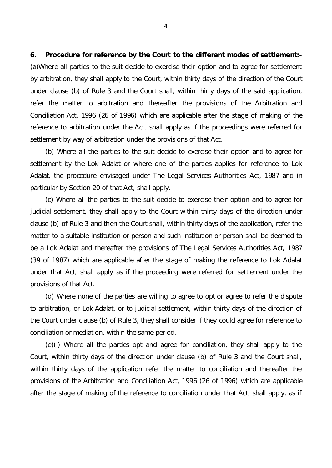**6. Procedure for reference by the Court to the different modes of settlement:-** (a)Where all parties to the suit decide to exercise their option and to agree for settlement by arbitration, they shall apply to the Court, within thirty days of the direction of the Court under clause (b) of Rule 3 and the Court shall, within thirty days of the said application, refer the matter to arbitration and thereafter the provisions of the Arbitration and Conciliation Act, 1996 (26 of 1996) which are applicable after the stage of making of the reference to arbitration under the Act, shall apply as if the proceedings were referred for settlement by way of arbitration under the provisions of that Act.

(b) Where all the parties to the suit decide to exercise their option and to agree for settlement by the Lok Adalat or where one of the parties applies for reference to Lok Adalat, the procedure envisaged under The Legal Services Authorities Act, 1987 and in particular by Section 20 of that Act, shall apply.

(c) Where all the parties to the suit decide to exercise their option and to agree for judicial settlement, they shall apply to the Court within thirty days of the direction under clause (b) of Rule 3 and then the Court shall, within thirty days of the application, refer the matter to a suitable institution or person and such institution or person shall be deemed to be a Lok Adalat and thereafter the provisions of The Legal Services Authorities Act, 1987 (39 of 1987) which are applicable after the stage of making the reference to Lok Adalat under that Act, shall apply as if the proceeding were referred for settlement under the provisions of that Act.

(d) Where none of the parties are willing to agree to opt or agree to refer the dispute to arbitration, or Lok Adalat, or to judicial settlement, within thirty days of the direction of the Court under clause (b) of Rule 3, they shall consider if they could agree for reference to conciliation or mediation, within the same period.

(e)(i) Where all the parties opt and agree for conciliation, they shall apply to the Court, within thirty days of the direction under clause (b) of Rule 3 and the Court shall, within thirty days of the application refer the matter to conciliation and thereafter the provisions of the Arbitration and Conciliation Act, 1996 (26 of 1996) which are applicable after the stage of making of the reference to conciliation under that Act, shall apply, as if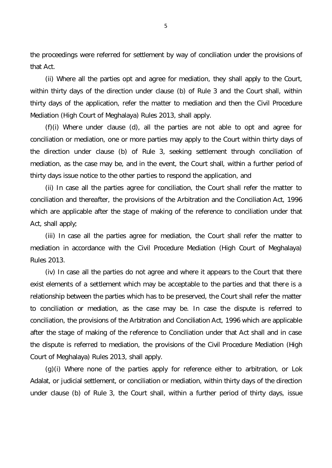the proceedings were referred for settlement by way of conciliation under the provisions of that Act.

(ii) Where all the parties opt and agree for mediation, they shall apply to the Court, within thirty days of the direction under clause (b) of Rule 3 and the Court shall, within thirty days of the application, refer the matter to mediation and then the Civil Procedure Mediation (High Court of Meghalaya) Rules 2013, shall apply.

(f)(i) Where under clause (d), all the parties are not able to opt and agree for conciliation or mediation, one or more parties may apply to the Court within thirty days of the direction under clause (b) of Rule 3, seeking settlement through conciliation of mediation, as the case may be, and in the event, the Court shall, within a further period of thirty days issue notice to the other parties to respond the application, and

(ii) In case all the parties agree for conciliation, the Court shall refer the matter to conciliation and thereafter, the provisions of the Arbitration and the Conciliation Act, 1996 which are applicable after the stage of making of the reference to conciliation under that Act, shall apply;

(iii) In case all the parties agree for mediation, the Court shall refer the matter to mediation in accordance with the Civil Procedure Mediation (High Court of Meghalaya) Rules 2013.

(iv) In case all the parties do not agree and where it appears to the Court that there exist elements of a settlement which may be acceptable to the parties and that there is a relationship between the parties which has to be preserved, the Court shall refer the matter to conciliation or mediation, as the case may be. In case the dispute is referred to conciliation, the provisions of the Arbitration and Conciliation Act, 1996 which are applicable after the stage of making of the reference to Conciliation under that Act shall and in case the dispute is referred to mediation, the provisions of the Civil Procedure Mediation (High Court of Meghalaya) Rules 2013, shall apply.

(g)(i) Where none of the parties apply for reference either to arbitration, or Lok Adalat, or judicial settlement, or conciliation or mediation, within thirty days of the direction under clause (b) of Rule 3, the Court shall, within a further period of thirty days, issue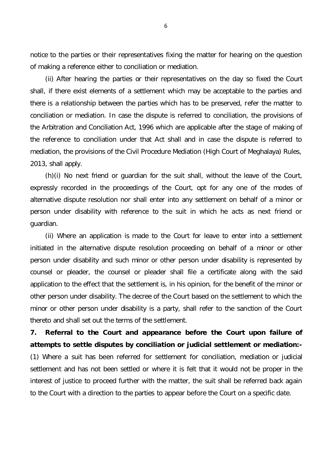notice to the parties or their representatives fixing the matter for hearing on the question of making a reference either to conciliation or mediation.

(ii) After hearing the parties or their representatives on the day so fixed the Court shall, if there exist elements of a settlement which may be acceptable to the parties and there is a relationship between the parties which has to be preserved, refer the matter to conciliation or mediation. In case the dispute is referred to conciliation, the provisions of the Arbitration and Conciliation Act, 1996 which are applicable after the stage of making of the reference to conciliation under that Act shall and in case the dispute is referred to mediation, the provisions of the Civil Procedure Mediation (High Court of Meghalaya) Rules, 2013, shall apply.

(h)(i) No next friend or guardian for the suit shall, without the leave of the Court, expressly recorded in the proceedings of the Court, opt for any one of the modes of alternative dispute resolution nor shall enter into any settlement on behalf of a minor or person under disability with reference to the suit in which he acts as next friend or guardian.

(ii) Where an application is made to the Court for leave to enter into a settlement initiated in the alternative dispute resolution proceeding on behalf of a minor or other person under disability and such minor or other person under disability is represented by counsel or pleader, the counsel or pleader shall file a certificate along with the said application to the effect that the settlement is, in his opinion, for the benefit of the minor or other person under disability. The decree of the Court based on the settlement to which the minor or other person under disability is a party, shall refer to the sanction of the Court thereto and shall set out the terms of the settlement.

**7. Referral to the Court and appearance before the Court upon failure of attempts to settle disputes by conciliation or judicial settlement or mediation:-** (1) Where a suit has been referred for settlement for conciliation, mediation or judicial settlement and has not been settled or where it is felt that it would not be proper in the interest of justice to proceed further with the matter, the suit shall be referred back again to the Court with a direction to the parties to appear before the Court on a specific date.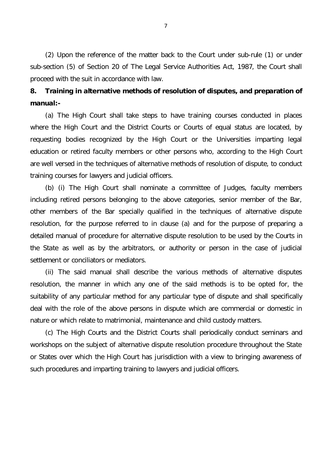(2) Upon the reference of the matter back to the Court under sub-rule (1) or under sub-section (5) of Section 20 of The Legal Service Authorities Act, 1987, the Court shall proceed with the suit in accordance with law.

## **8. Training in alternative methods of resolution of disputes, and preparation of manual:-**

(a) The High Court shall take steps to have training courses conducted in places where the High Court and the District Courts or Courts of equal status are located, by requesting bodies recognized by the High Court or the Universities imparting legal education or retired faculty members or other persons who, according to the High Court are well versed in the techniques of alternative methods of resolution of dispute, to conduct training courses for lawyers and judicial officers.

(b) (i) The High Court shall nominate a committee of Judges, faculty members including retired persons belonging to the above categories, senior member of the Bar, other members of the Bar specially qualified in the techniques of alternative dispute resolution, for the purpose referred to in clause (a) and for the purpose of preparing a detailed manual of procedure for alternative dispute resolution to be used by the Courts in the State as well as by the arbitrators, or authority or person in the case of judicial settlement or conciliators or mediators.

(ii) The said manual shall describe the various methods of alternative disputes resolution, the manner in which any one of the said methods is to be opted for, the suitability of any particular method for any particular type of dispute and shall specifically deal with the role of the above persons in dispute which are commercial or domestic in nature or which relate to matrimonial, maintenance and child custody matters.

(c) The High Courts and the District Courts shall periodically conduct seminars and workshops on the subject of alternative dispute resolution procedure throughout the State or States over which the High Court has jurisdiction with a view to bringing awareness of such procedures and imparting training to lawyers and judicial officers.